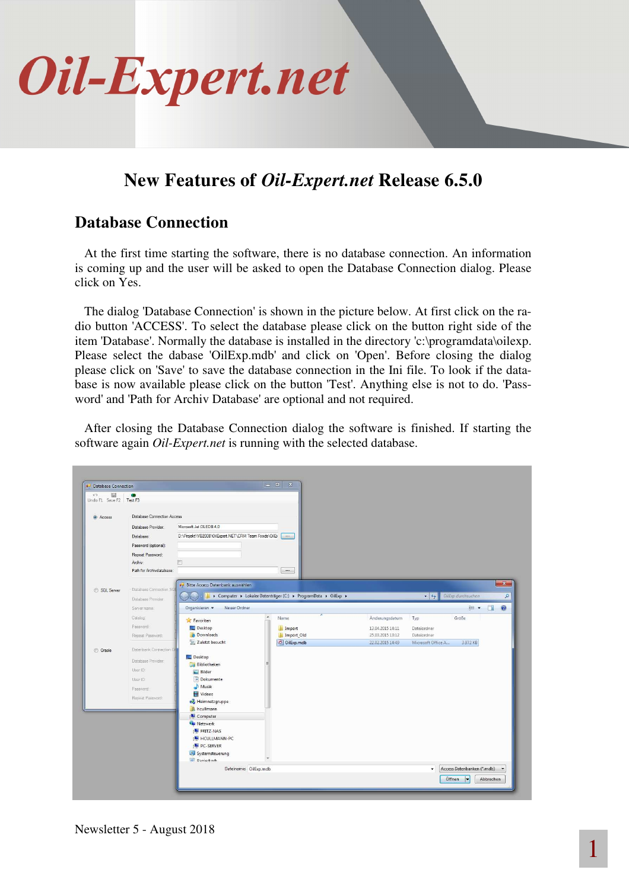

### **New Features of** *Oil-Expert.net* **Release 6.5.0**

#### **Database Connection**

At the first time starting the software, there is no database connection. An information is coming up and the user will be asked to open the Database Connection dialog. Please click on Yes.

The dialog 'Database Connection' is shown in the picture below. At first click on the radio button 'ACCESS'. To select the database please click on the button right side of the item 'Database'. Normally the database is installed in the directory 'c:\programdata\oilexp. Please select the dabase 'OilExp.mdb' and click on 'Open'. Before closing the dialog please click on 'Save' to save the database connection in the Ini file. To look if the database is now available please click on the button 'Test'. Anything else is not to do. 'Password' and 'Path for Archiv Database' are optional and not required.

After closing the Database Connection dialog the software is finished. If starting the software again *Oil-Expert.net* is running with the selected database.

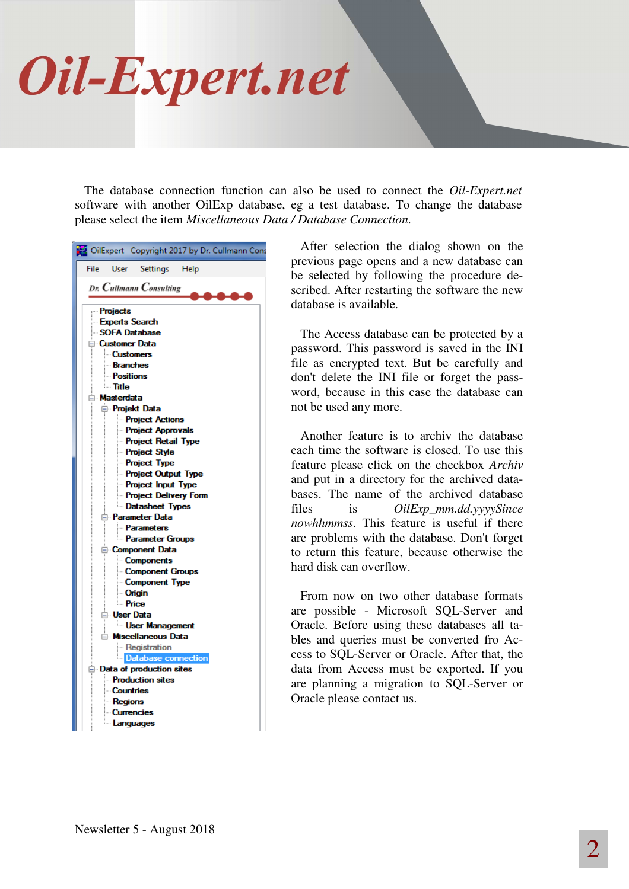## Oil-Expert.net

The database connection function can also be used to connect the *Oil-Expert.net* software with another OilExp database, eg a test database. To change the database please select the item *Miscellaneous Data / Database Connection*.

|                                            |                                                                                                                                                                                                     | OilExpert Copyright 2017 by Dr. Cullmann ( |
|--------------------------------------------|-----------------------------------------------------------------------------------------------------------------------------------------------------------------------------------------------------|--------------------------------------------|
| File                                       | User<br><b>Settings</b>                                                                                                                                                                             | Help                                       |
|                                            | Dr. Cullmann Consulting                                                                                                                                                                             |                                            |
| <b>Projects</b><br>— Title<br>⊟ Masterdata | <b>Experts Search</b><br>SOFA Database<br>⊟ Customer Data<br><b>Customers</b><br><b>Branches</b><br><b>Positions</b><br><b>E</b> Projekt Data<br><b>Project Actions</b><br><b>Project Approvals</b> |                                            |
|                                            | Project Retail Type<br><b>Project Style</b><br><b>Project Type</b><br>- Project Output Type<br>- Project Input Type                                                                                 |                                            |
|                                            | <b>Project Delivery Form</b><br>Datasheet Types<br>⊟ Parameter Data<br><b>Parameters</b><br><b>Parameter Groups</b>                                                                                 |                                            |
|                                            | <b>E</b> -Component Data<br><b>Components</b><br>- Component Groups<br>- Component Type<br><b>Origin</b>                                                                                            |                                            |
|                                            | — Price<br>⊟ User Data<br><b>User Management</b><br>A Miscellaneous Data<br><b>Registration</b>                                                                                                     |                                            |
|                                            | Database connection<br><b>E</b> Data of production sites<br><b>Production sites</b><br><b>Countries</b><br><b>Regions</b>                                                                           |                                            |
|                                            | <b>Currencies</b><br>Languages                                                                                                                                                                      |                                            |

After selection the dialog shown on the previous page opens and a new database can be selected by following the procedure described. After restarting the software the new database is available.

The Access database can be protected by a password. This password is saved in the INI file as encrypted text. But be carefully and don't delete the INI file or forget the password, because in this case the database can not be used any more.

Another feature is to archiv the database each time the software is closed. To use this feature please click on the checkbox *Archiv* and put in a directory for the archived databases. The name of the archived database files is *OilExp\_mm.dd.yyyySince nowhhmmss*. This feature is useful if there are problems with the database. Don't forget to return this feature, because otherwise the hard disk can overflow.

From now on two other database formats are possible - Microsoft SQL-Server and Oracle. Before using these databases all tables and queries must be converted fro Access to SQL-Server or Oracle. After that, the data from Access must be exported. If you are planning a migration to SQL-Server or Oracle please contact us.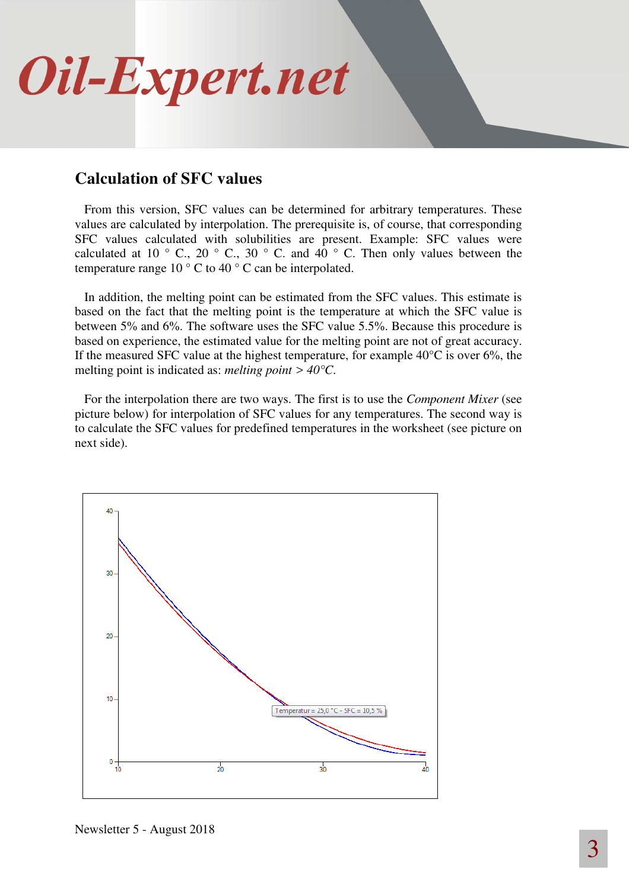

#### **Calculation of SFC values**

From this version, SFC values can be determined for arbitrary temperatures. These values are calculated by interpolation. The prerequisite is, of course, that corresponding SFC values calculated with solubilities are present. Example: SFC values were calculated at 10  $\degree$  C, 20  $\degree$  C, 30  $\degree$  C. and 40  $\degree$  C. Then only values between the temperature range 10 ° C to 40 ° C can be interpolated.

In addition, the melting point can be estimated from the SFC values. This estimate is based on the fact that the melting point is the temperature at which the SFC value is between 5% and 6%. The software uses the SFC value 5.5%. Because this procedure is based on experience, the estimated value for the melting point are not of great accuracy. If the measured SFC value at the highest temperature, for example  $40^{\circ}$ C is over 6%, the melting point is indicated as: *melting point > 40°C*.

For the interpolation there are two ways. The first is to use the *Component Mixer* (see picture below) for interpolation of SFC values for any temperatures. The second way is to calculate the SFC values for predefined temperatures in the worksheet (see picture on next side).



Newsletter 5 - August 2018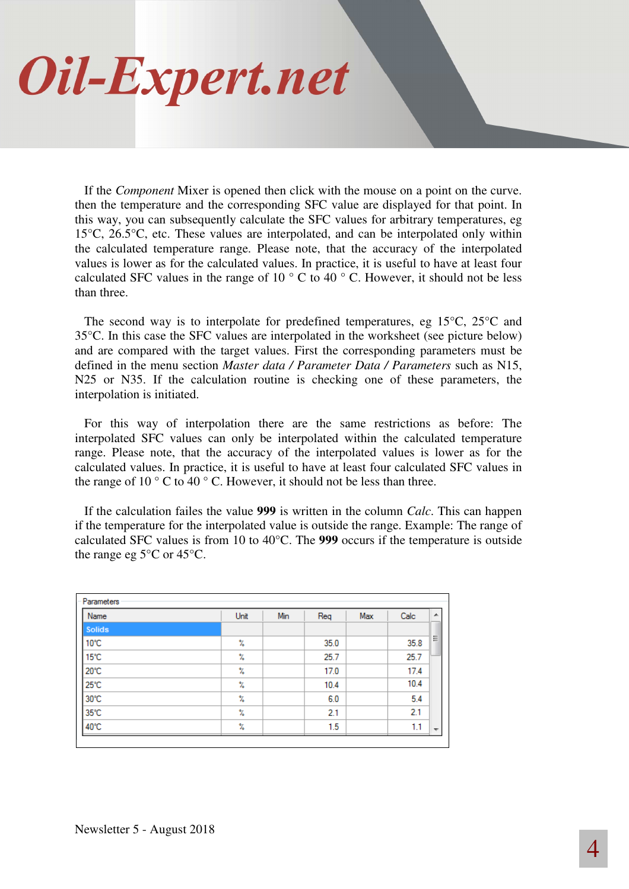## Oil-Expert.net

If the *Component* Mixer is opened then click with the mouse on a point on the curve. then the temperature and the corresponding SFC value are displayed for that point. In this way, you can subsequently calculate the SFC values for arbitrary temperatures, eg 15°C, 26.5°C, etc. These values are interpolated, and can be interpolated only within the calculated temperature range. Please note, that the accuracy of the interpolated values is lower as for the calculated values. In practice, it is useful to have at least four calculated SFC values in the range of 10  $\degree$  C to 40  $\degree$  C. However, it should not be less than three.

The second way is to interpolate for predefined temperatures, eg 15°C, 25°C and 35°C. In this case the SFC values are interpolated in the worksheet (see picture below) and are compared with the target values. First the corresponding parameters must be defined in the menu section *Master data / Parameter Data / Parameters* such as N15, N25 or N35. If the calculation routine is checking one of these parameters, the interpolation is initiated.

For this way of interpolation there are the same restrictions as before: The interpolated SFC values can only be interpolated within the calculated temperature range. Please note, that the accuracy of the interpolated values is lower as for the calculated values. In practice, it is useful to have at least four calculated SFC values in the range of 10  $\degree$  C to 40  $\degree$  C. However, it should not be less than three.

If the calculation failes the value **999** is written in the column *Calc*. This can happen if the temperature for the interpolated value is outside the range. Example: The range of calculated SFC values is from 10 to 40°C. The **999** occurs if the temperature is outside the range eg 5°C or 45°C.

| Name          | Unit | Min | Req  | Max | Calc | ▲                        |
|---------------|------|-----|------|-----|------|--------------------------|
| <b>Solids</b> |      |     |      |     |      |                          |
| 10°C          | Y.   |     | 35.0 |     | 35.8 | Ξ                        |
| 15°C          | Y.   |     | 25.7 |     | 25.7 |                          |
| 20°C          | X    |     | 17.0 |     | 17.4 |                          |
| 25°C          | Y.   |     | 10.4 |     | 10.4 |                          |
| 30°C          | X    |     | 6.0  |     | 5.4  |                          |
| 35°C          | X    |     | 2.1  |     | 2.1  |                          |
| 40°C          | X    |     | 1.5  |     | 1.1  | $\overline{\phantom{a}}$ |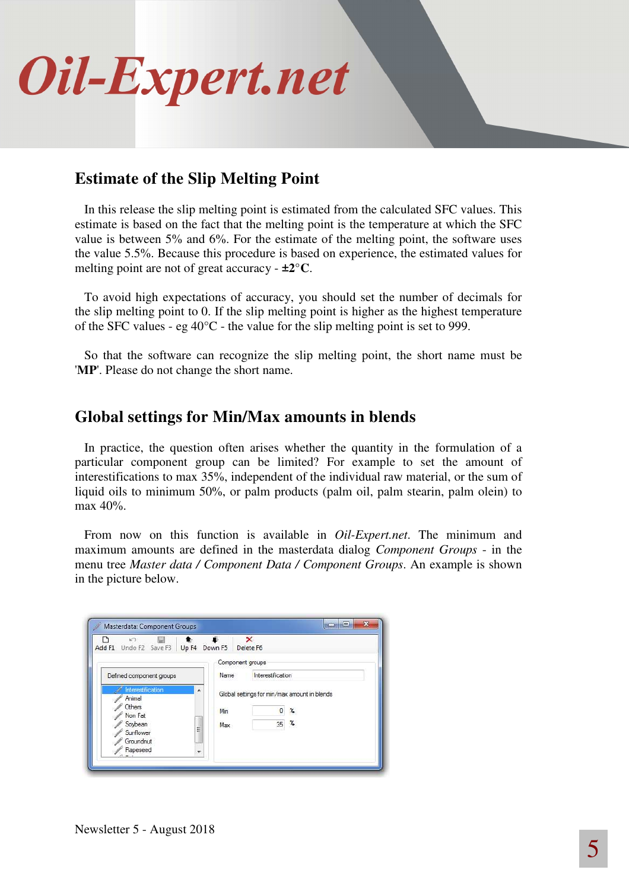

### **Estimate of the Slip Melting Point**

In this release the slip melting point is estimated from the calculated SFC values. This estimate is based on the fact that the melting point is the temperature at which the SFC value is between 5% and 6%. For the estimate of the melting point, the software uses the value 5.5%. Because this procedure is based on experience, the estimated values for melting point are not of great accuracy - **±2°C**.

To avoid high expectations of accuracy, you should set the number of decimals for the slip melting point to 0. If the slip melting point is higher as the highest temperature of the SFC values - eg  $40^{\circ}$ C - the value for the slip melting point is set to 999.

So that the software can recognize the slip melting point, the short name must be '**MP**'. Please do not change the short name.

#### **Global settings for Min/Max amounts in blends**

In practice, the question often arises whether the quantity in the formulation of a particular component group can be limited? For example to set the amount of interestifications to max 35%, independent of the individual raw material, or the sum of liquid oils to minimum 50%, or palm products (palm oil, palm stearin, palm olein) to max 40%.

From now on this function is available in *Oil-Expert.net*. The minimum and maximum amounts are defined in the masterdata dialog *Component Groups* - in the menu tree *Master data / Component Data / Component Groups*. An example is shown in the picture below.

| KG.<br>Add F1 Undo F2 Save F3 Up F4 Down F5                                                                                                              |                          | $\times$<br>Delete F6 |                                                   |
|----------------------------------------------------------------------------------------------------------------------------------------------------------|--------------------------|-----------------------|---------------------------------------------------|
| Defined component groups                                                                                                                                 | Component groups<br>Name | Interestification     |                                                   |
| Interestification<br>۰<br>Animal<br>Others<br>Non Fat<br>Soybean<br>Ξ<br>Sunflower<br>Groundnut<br>Rapeseed<br>÷<br>$\Delta$ $\rightarrow$ $\rightarrow$ | Min<br>Max               | 35                    | Global settings for min/max amount in blends<br>x |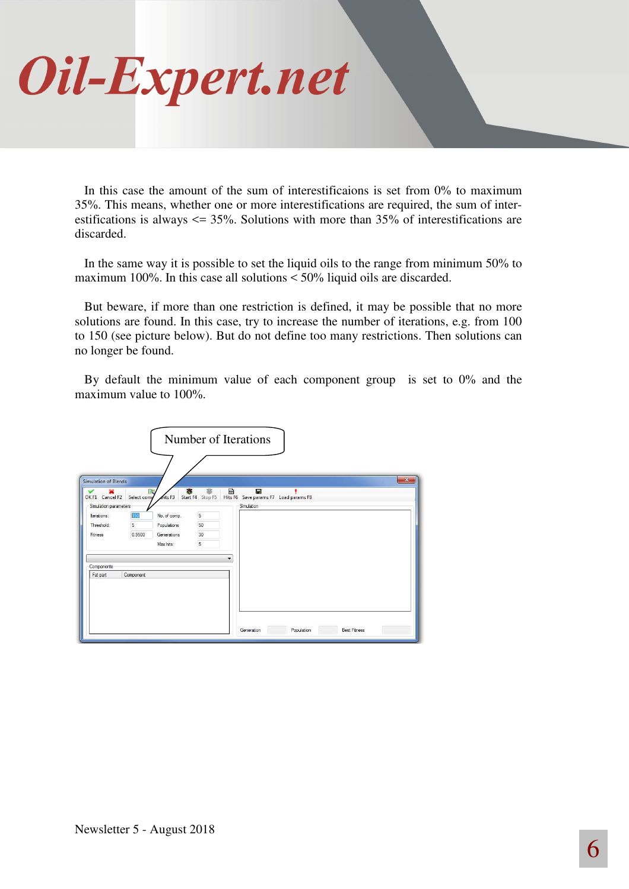# Oil-Expert.net

In this case the amount of the sum of interestificaions is set from 0% to maximum 35%. This means, whether one or more interestifications are required, the sum of interestifications is always  $\leq$  35%. Solutions with more than 35% of interestifications are discarded.

In the same way it is possible to set the liquid oils to the range from minimum 50% to maximum 100%. In this case all solutions < 50% liquid oils are discarded.

But beware, if more than one restriction is defined, it may be possible that no more solutions are found. In this case, try to increase the number of iterations, e.g. from 100 to 150 (see picture below). But do not define too many restrictions. Then solutions can no longer be found.

By default the minimum value of each component group is set to 0% and the maximum value to 100%.